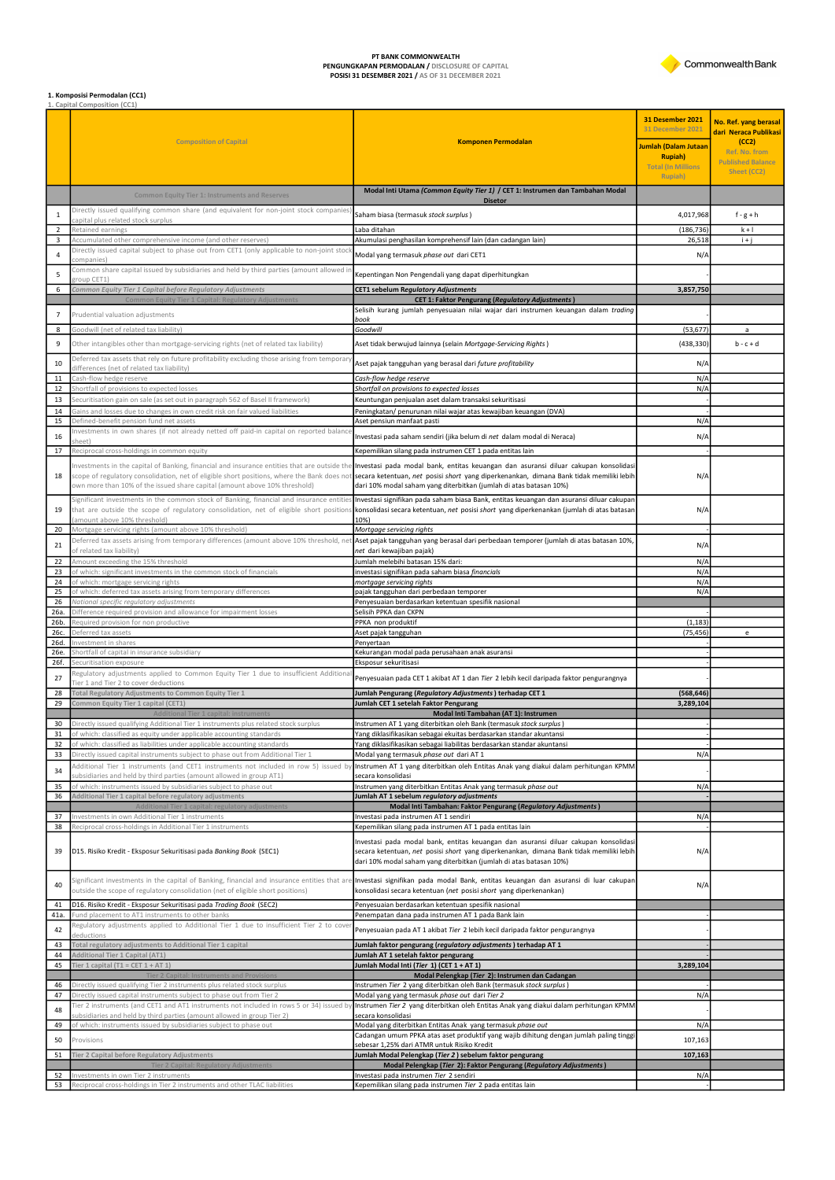PT BANK COMMONWEALTH<br>PENGUNGKAPAN PERMODALAN / DISCLOSURE OF CAPITAL<br>POSISI 31 DESEMBER 2021 / AS OF 31 DECEMBER 2021

## Commonwealth Bank

## **1. Komposisi Permodalan (CC1)**<br>1. Capital Composition (CC1)

|                     |                                                                                                                                                                                     |                                                                                                                                                                                                                                                               |                                         | No. Ref. yang berasal<br>dari Neraca Publikasi |
|---------------------|-------------------------------------------------------------------------------------------------------------------------------------------------------------------------------------|---------------------------------------------------------------------------------------------------------------------------------------------------------------------------------------------------------------------------------------------------------------|-----------------------------------------|------------------------------------------------|
|                     | <b>Composition of Capital</b>                                                                                                                                                       | <b>Komponen Permodalan</b>                                                                                                                                                                                                                                    | Jumlah (Dalam Jutaan<br><b>Rupiah</b> ) | (CC2)<br>Ref. No. from                         |
|                     |                                                                                                                                                                                     |                                                                                                                                                                                                                                                               | <b>Total (In Millions</b><br>Rupiah)    | <b>Published Balance</b><br>Sheet (CC2)        |
|                     | <b>Common Equity Tier 1: Instruments and Reserves</b>                                                                                                                               | Modal Inti Utama (Common Equity Tier 1) / CET 1: Instrumen dan Tambahan Modal                                                                                                                                                                                 |                                         |                                                |
|                     | Directly issued qualifying common share (and equivalent for non-joint stock companies                                                                                               | <b>Disetor</b>                                                                                                                                                                                                                                                |                                         |                                                |
| 1<br>$\overline{2}$ | capital plus related stock surplus<br>Retained earnings                                                                                                                             | Saham biasa (termasuk stock surplus)<br>Laba ditahan                                                                                                                                                                                                          | 4,017,968<br>(186, 736)                 | $f-g+h$<br>$k + 1$                             |
| 3                   | Accumulated other comprehensive income (and other reserves)                                                                                                                         | Akumulasi penghasilan komprehensif lain (dan cadangan lain)                                                                                                                                                                                                   | 26,518                                  | $i + j$                                        |
| $\overline{4}$      | Directly issued capital subject to phase out from CET1 (only applicable to non-joint stoc<br>ompanies)                                                                              | Modal yang termasuk phase out dari CET1                                                                                                                                                                                                                       | N/A                                     |                                                |
| 5                   | Common share capital issued by subsidiaries and held by third parties (amount allowed i<br>group CET1)                                                                              | Kepentingan Non Pengendali yang dapat diperhitungkan                                                                                                                                                                                                          |                                         |                                                |
| 6                   | Common Equity Tier 1 Capital before Regulatory Adjustments                                                                                                                          | CET1 sebelum Regulatory Adjustments                                                                                                                                                                                                                           | 3,857,750                               |                                                |
|                     | <b>Common Equity Tier 1 Capital: Regulatory Adjustments</b>                                                                                                                         | <b>CET 1: Faktor Pengurang (Regulatory Adjustments)</b><br>Selisih kurang jumlah penyesuaian nilai wajar dari instrumen keuangan dalam trading                                                                                                                |                                         |                                                |
| $\overline{7}$      | Prudential valuation adjustments                                                                                                                                                    | book                                                                                                                                                                                                                                                          |                                         |                                                |
| 8                   | Goodwill (net of related tax liability)                                                                                                                                             | Goodwill                                                                                                                                                                                                                                                      | (53, 677)                               | $\mathsf{a}$                                   |
| 9                   | Other intangibles other than mortgage-servicing rights (net of related tax liability)                                                                                               | Aset tidak berwujud lainnya (selain Mortgage-Servicing Rights)                                                                                                                                                                                                | (438, 330)                              | $b - c + d$                                    |
| 10                  | Deferred tax assets that rely on future profitability excluding those arising from temporar<br>differences (net of related tax liability)                                           | Aset pajak tangguhan yang berasal dari future profitability                                                                                                                                                                                                   | N/A                                     |                                                |
| 11<br>12            | Cash-flow hedge reserve<br>Shortfall of provisions to expected losses                                                                                                               | Cash-flow hedge reserve<br>Shortfall on provisions to expected losses                                                                                                                                                                                         | N/A<br>N/A                              |                                                |
| 13                  | Securitisation gain on sale (as set out in paragraph 562 of Basel II framework)                                                                                                     | Keuntungan penjualan aset dalam transaksi sekuritisasi                                                                                                                                                                                                        |                                         |                                                |
| 14                  | Gains and losses due to changes in own credit risk on fair valued liabilities                                                                                                       | Peningkatan/ penurunan nilai wajar atas kewajiban keuangan (DVA)                                                                                                                                                                                              |                                         |                                                |
| 15                  | Defined-benefit pension fund net assets<br>Investments in own shares (if not already netted off paid-in capital on reported balanc                                                  | Aset pensiun manfaat pasti                                                                                                                                                                                                                                    | N/A                                     |                                                |
| 16                  | heet)                                                                                                                                                                               | Investasi pada saham sendiri (jika belum di net dalam modal di Neraca)                                                                                                                                                                                        | N/A                                     |                                                |
| 17                  | Reciprocal cross-holdings in common equity<br>Investments in the capital of Banking, financial and insurance entities that are outside the                                          | Kepemilikan silang pada instrumen CET 1 pada entitas lain<br>Investasi pada modal bank, entitas keuangan dan asuransi diluar cakupan konsolidasi                                                                                                              |                                         |                                                |
| 18                  |                                                                                                                                                                                     | scope of regulatory consolidation, net of eligible short positions, where the Bank does not secara ketentuan, net posisi short yang diperkenankan, dimana Bank tidak memiliki lebih                                                                           | N/A                                     |                                                |
|                     | own more than 10% of the issued share capital (amount above 10% threshold)                                                                                                          | dari 10% modal saham yang diterbitkan (jumlah di atas batasan 10%)                                                                                                                                                                                            |                                         |                                                |
| 19                  | Significant investments in the common stock of Banking, financial and insurance entities<br>that are outside the scope of regulatory consolidation, net of eligible short positions | Investasi signifikan pada saham biasa Bank, entitas keuangan dan asuransi diluar cakupan<br>konsolidasi secara ketentuan, net posisi short yang diperkenankan (jumlah di atas batasan                                                                         | N/A                                     |                                                |
|                     | amount above 10% threshold)                                                                                                                                                         | 10%)                                                                                                                                                                                                                                                          |                                         |                                                |
| 20                  | Mortgage servicing rights (amount above 10% threshold)<br>Deferred tax assets arising from temporary differences (amount above 10% threshold, ne                                    | Mortgage servicing rights<br>Aset pajak tangguhan yang berasal dari perbedaan temporer (jumlah di atas batasan 10%,                                                                                                                                           |                                         |                                                |
| 21                  | of related tax liability)                                                                                                                                                           | net dari kewajiban pajak)                                                                                                                                                                                                                                     | N/A                                     |                                                |
| 22<br>23            | Amount exceeding the 15% threshold<br>of which: significant investments in the common stock of financials                                                                           | Jumlah melebihi batasan 15% dari:<br>investasi signifikan pada saham biasa financials                                                                                                                                                                         | N/A<br>N/A                              |                                                |
| 24                  | of which: mortgage servicing rights                                                                                                                                                 | mortgage servicing rights                                                                                                                                                                                                                                     | N/A                                     |                                                |
| 25<br>26            | of which: deferred tax assets arising from temporary differences<br>National specific regulatory adjustments                                                                        | pajak tangguhan dari perbedaan temporer<br>Penyesuaian berdasarkan ketentuan spesifik nasional                                                                                                                                                                | N/A                                     |                                                |
| 26a.                | Difference required provision and allowance for impairment losses                                                                                                                   | Selisih PPKA dan CKPN                                                                                                                                                                                                                                         |                                         |                                                |
| 26b.<br>26с.        | Required provision for non productive<br>Deferred tax assets                                                                                                                        | PPKA non produktif<br>Aset pajak tangguhan                                                                                                                                                                                                                    | (1, 183)<br>(75, 456)                   | $\epsilon$                                     |
| 26d.                | Investment in shares                                                                                                                                                                | Penyertaan                                                                                                                                                                                                                                                    |                                         |                                                |
| 26e.<br>26f.        | Shortfall of capital in insurance subsidiary<br>Securitisation exposure                                                                                                             | Kekurangan modal pada perusahaan anak asuransi<br>Eksposur sekuritisasi                                                                                                                                                                                       |                                         |                                                |
| 27                  | Regulatory adjustments applied to Common Equity Tier 1 due to insufficient Additiona                                                                                                | Penyesuaian pada CET 1 akibat AT 1 dan Tier 2 lebih kecil daripada faktor pengurangnya                                                                                                                                                                        |                                         |                                                |
| 28                  | Tier 1 and Tier 2 to cover deductions<br>Total Regulatory Adjustments to Common Equity Tier 1                                                                                       | Jumlah Pengurang (Regulatory Adjustments) terhadap CET 1                                                                                                                                                                                                      | (568, 646)                              |                                                |
| 29                  | Common Equity Tier 1 capital (CET1)                                                                                                                                                 | Jumlah CET 1 setelah Faktor Pengurang                                                                                                                                                                                                                         | 3,289,104                               |                                                |
| 30                  | Additional Tier 1 capital: instruments<br>Directly issued qualifying Additional Tier 1 instruments plus related stock surplus                                                       | Modal Inti Tambahan (AT 1): Instrumen<br>Instrumen AT 1 yang diterbitkan oleh Bank (termasuk stock surplus)                                                                                                                                                   |                                         |                                                |
| 31                  | of which: classified as equity under applicable accounting standards                                                                                                                | Yang diklasifikasikan sebagai ekuitas berdasarkan standar akuntansi                                                                                                                                                                                           |                                         |                                                |
| 32<br>33            | of which: classified as liabilities under applicable accounting standards<br>Directly issued capital instruments subject to phase out from Additional Tier 1                        | Yang diklasifikasikan sebagai liabilitas berdasarkan standar akuntansi<br>Modal yang termasuk phase out dari AT 1                                                                                                                                             | $N/\rho$                                |                                                |
| 34                  | Additional Tier 1 instruments (and CET1 instruments not included in row 5) issued by                                                                                                | Instrumen AT 1 yang diterbitkan oleh Entitas Anak yang diakui dalam perhitungan KPMM                                                                                                                                                                          |                                         |                                                |
| 35                  | subsidiaries and held by third parties (amount allowed in group AT1)<br>of which: instruments issued by subsidiaries subject to phase out                                           | secara konsolidasi<br>Instrumen yang diterbitkan Entitas Anak yang termasuk phase out                                                                                                                                                                         | N/A                                     |                                                |
| 36                  | Additional Tier 1 capital before regulatory adjustments                                                                                                                             | Jumlah AT 1 sebelum regulatory adjustments                                                                                                                                                                                                                    |                                         |                                                |
| 37                  | Additional Tier 1 capital: regulatory adjustments<br>Investments in own Additional Tier 1 instruments                                                                               | Modal Inti Tambahan: Faktor Pengurang (Regulatory Adjustments)<br>Investasi pada instrumen AT 1 sendiri                                                                                                                                                       | N/A                                     |                                                |
| 38                  | Reciprocal cross-holdings in Additional Tier 1 instruments                                                                                                                          | Kepemilikan silang pada instrumen AT 1 pada entitas lain                                                                                                                                                                                                      |                                         |                                                |
| 39                  | D15. Risiko Kredit - Eksposur Sekuritisasi pada Banking Book (SEC1)                                                                                                                 | Investasi pada modal bank, entitas keuangan dan asuransi diluar cakupan konsolidasi<br>secara ketentuan, net posisi short yang diperkenankan, dimana Bank tidak memiliki lebih<br>dari 10% modal saham yang diterbitkan (jumlah di atas batasan 10%)          | N/A                                     |                                                |
| 40                  | outside the scope of regulatory consolidation (net of eligible short positions)                                                                                                     | Significant investments in the capital of Banking, financial and insurance entities that are <b>Investasi signifikan pada modal Bank, entitas keuangan dan asuransi di luar cakupan</b><br>konsolidasi secara ketentuan (net posisi short yang diperkenankan) | N/A                                     |                                                |
| 41                  | D16. Risiko Kredit - Eksposur Sekuritisasi pada Trading Book (SEC2)                                                                                                                 | Penyesuaian berdasarkan ketentuan spesifik nasional                                                                                                                                                                                                           |                                         |                                                |
| 41a.<br>42          | und placement to AT1 instruments to other banks<br>Regulatory adjustments applied to Additional Tier 1 due to insufficient Tier 2 to cove                                           | Penempatan dana pada instrumen AT 1 pada Bank lain<br>Penyesuaian pada AT 1 akibat Tier 2 lebih kecil daripada faktor pengurangnya                                                                                                                            |                                         |                                                |
| 43                  | deductions<br>Total regulatory adjustments to Additional Tier 1 capital                                                                                                             | Jumlah faktor pengurang (regulatory adjustments) terhadap AT 1                                                                                                                                                                                                |                                         |                                                |
| 44                  | Additional Tier 1 Capital (AT1)                                                                                                                                                     | Jumlah AT 1 setelah faktor pengurang                                                                                                                                                                                                                          |                                         |                                                |
| 45                  | Tier 1 capital (T1 = CET $1 + AT 1$ )<br><b>Tier 2 Capital: Instruments and Provisions</b>                                                                                          | Jumlah Modal Inti (Tier 1) (CET 1 + AT 1)<br>Modal Pelengkap (Tier 2): Instrumen dan Cadangan                                                                                                                                                                 | 3,289,104                               |                                                |
| 46                  | Directly issued qualifying Tier 2 instruments plus related stock surplus                                                                                                            | Instrumen Tier 2 yang diterbitkan oleh Bank (termasuk stock surplus)                                                                                                                                                                                          |                                         |                                                |
| 47                  | Directly issued capital instruments subject to phase out from Tier 2<br>Tier 2 instruments (and CET1 and AT1 instruments not included in rows 5 or 34) issued by                    | Modal yang yang termasuk phase out dari Tier 2<br>Instrumen Tier 2 yang diterbitkan oleh Entitas Anak yang diakui dalam perhitungan KPMM                                                                                                                      | N/A                                     |                                                |
| 48                  | subsidiaries and held by third parties (amount allowed in group Tier 2)                                                                                                             | secara konsolidasi                                                                                                                                                                                                                                            |                                         |                                                |
| 49                  | of which: instruments issued by subsidiaries subject to phase out                                                                                                                   | Modal yang diterbitkan Entitas Anak yang termasuk phase out<br>Cadangan umum PPKA atas aset produktif yang wajib dihitung dengan jumlah paling tinggi                                                                                                         | N/A                                     |                                                |
| 50                  | Provisions                                                                                                                                                                          | sebesar 1,25% dari ATMR untuk Risiko Kredit                                                                                                                                                                                                                   | 107,163                                 |                                                |
| 51                  | Tier 2 Capital before Regulatory Adjustments<br>ulatory Adjustments                                                                                                                 | Jumlah Modal Pelengkap (Tier 2) sebelum faktor pengurang<br>Modal Pelengkap (Tier 2): Faktor Pengurang (Regulatory Adjustments)                                                                                                                               | 107,163                                 |                                                |
| 52                  | Investments in own Tier 2 instruments                                                                                                                                               | Investasi pada instrumen Tier 2 sendiri                                                                                                                                                                                                                       | N/A                                     |                                                |
| 53                  | Reciprocal cross-holdings in Tier 2 instruments and other TLAC liabilities                                                                                                          | Kepemilikan silang pada instrumen Tier 2 pada entitas lain                                                                                                                                                                                                    |                                         |                                                |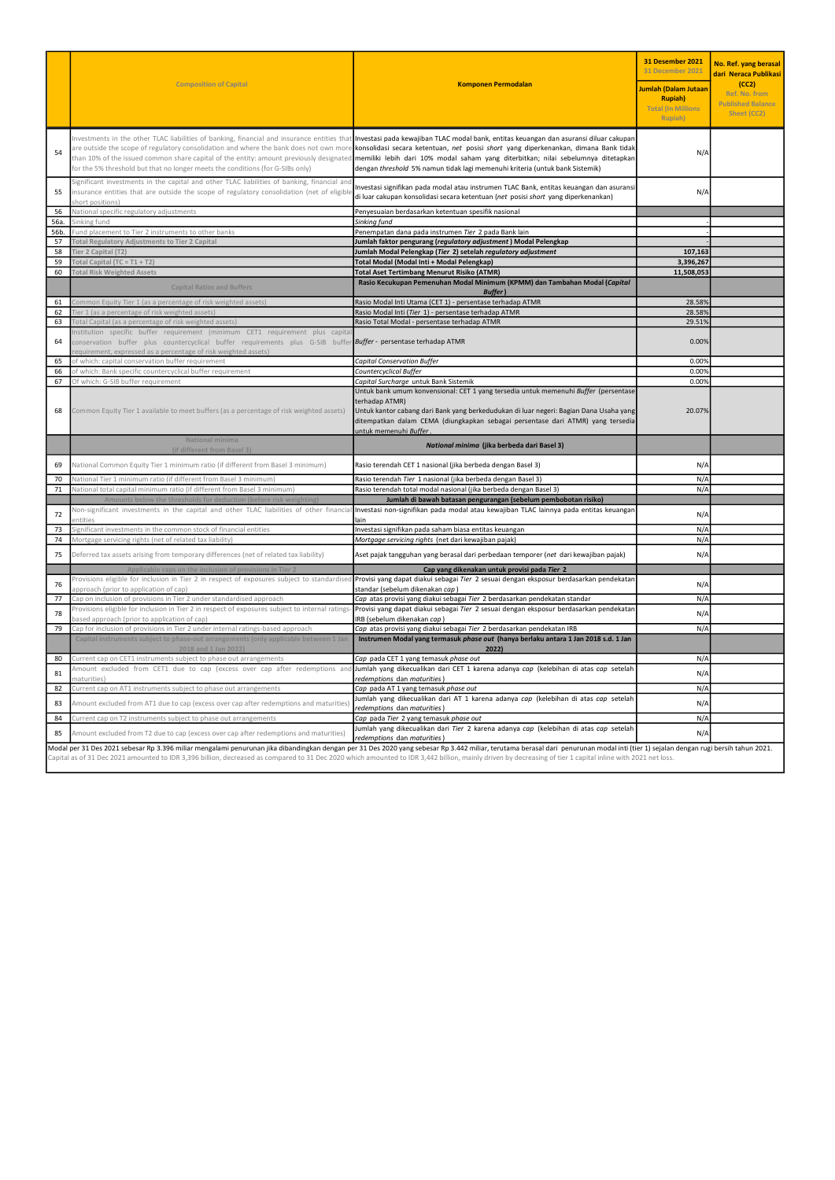|            | <b>Composition of Capital</b>                                                                                                                                                                                                                                              | <b>Komponen Permodalan</b>                                                                                                                                                                                                                                                                                                                                                                                                                                                                                                                                                                                                            | 31 Desember 2021<br><b>31 December 2021</b><br>Jumlah (Dalam Jutaan<br><b>Rupiah</b> )<br><b>Total (In Millions)</b><br>Rupiah) | No. Ref. yang berasal<br>dari Neraca Publikasi<br>(CC2)<br>Ref. No. from<br><b>Published Balance</b><br>Sheet (CC2) |
|------------|----------------------------------------------------------------------------------------------------------------------------------------------------------------------------------------------------------------------------------------------------------------------------|---------------------------------------------------------------------------------------------------------------------------------------------------------------------------------------------------------------------------------------------------------------------------------------------------------------------------------------------------------------------------------------------------------------------------------------------------------------------------------------------------------------------------------------------------------------------------------------------------------------------------------------|---------------------------------------------------------------------------------------------------------------------------------|---------------------------------------------------------------------------------------------------------------------|
| 54         | for the 5% threshold but that no longer meets the conditions (for G-SIBs only)                                                                                                                                                                                             | Investments in the other TLAC liabilities of banking, financial and insurance entities that Investasi pada kewajiban TLAC modal bank, entitas keuangan dan asuransi diluar cakupan<br>are outside the scope of regulatory consolidation and where the bank does not own more konsolidasi secara ketentuan, net posisi short yang diperkenankan, dimana Bank tidak<br>than 10% of the issued common share capital of the entity: amount previously designated <b>memiliki lebih dari 10% modal saham yang diterbitkan; nilai sebelumnya ditetapkan</b><br>dengan threshold 5% namun tidak lagi memenuhi kriteria (untuk bank Sistemik) | N/A                                                                                                                             |                                                                                                                     |
| 55         | Significant investments in the capital and other TLAC liabilities of banking, financial and<br>insurance entities that are outside the scope of regulatory consolidation (net of eligible<br>hort positions)                                                               | Investasi signifikan pada modal atau instrumen TLAC Bank, entitas keuangan dan asuransi<br>di luar cakupan konsolidasi secara ketentuan (net posisi short yang diperkenankan)                                                                                                                                                                                                                                                                                                                                                                                                                                                         | N/A                                                                                                                             |                                                                                                                     |
| 56         | National specific regulatory adjustments                                                                                                                                                                                                                                   | Penyesuaian berdasarkan ketentuan spesifik nasional                                                                                                                                                                                                                                                                                                                                                                                                                                                                                                                                                                                   |                                                                                                                                 |                                                                                                                     |
| 56a.       | inking fund                                                                                                                                                                                                                                                                | Sinking fund                                                                                                                                                                                                                                                                                                                                                                                                                                                                                                                                                                                                                          |                                                                                                                                 |                                                                                                                     |
| 56b.<br>57 | Fund placement to Tier 2 instruments to other banks<br><b>Total Regulatory Adjustments to Tier 2 Capital</b>                                                                                                                                                               | Penempatan dana pada instrumen Tier 2 pada Bank lain<br>lumlah faktor pengurang (regulatory adjustment) Modal Pelengkap                                                                                                                                                                                                                                                                                                                                                                                                                                                                                                               |                                                                                                                                 |                                                                                                                     |
| 58         | Tier 2 Capital (T2)                                                                                                                                                                                                                                                        | Jumlah Modal Pelengkap (Tier 2) setelah regulatory adjustment                                                                                                                                                                                                                                                                                                                                                                                                                                                                                                                                                                         | 107,163                                                                                                                         |                                                                                                                     |
| 59         | Total Capital $(TC = T1 + T2)$                                                                                                                                                                                                                                             | Total Modal (Modal Inti + Modal Pelengkap)                                                                                                                                                                                                                                                                                                                                                                                                                                                                                                                                                                                            | 3,396,267                                                                                                                       |                                                                                                                     |
| 60         | <b>Total Risk Weighted Assets</b>                                                                                                                                                                                                                                          | <b>Total Aset Tertimbang Menurut Risiko (ATMR)</b>                                                                                                                                                                                                                                                                                                                                                                                                                                                                                                                                                                                    | 11,508,053                                                                                                                      |                                                                                                                     |
|            |                                                                                                                                                                                                                                                                            | Rasio Kecukupan Pemenuhan Modal Minimum (KPMM) dan Tambahan Modal (Capital                                                                                                                                                                                                                                                                                                                                                                                                                                                                                                                                                            |                                                                                                                                 |                                                                                                                     |
|            | <b>Capital Ratios and Buffers</b>                                                                                                                                                                                                                                          | <b>Buffer</b>                                                                                                                                                                                                                                                                                                                                                                                                                                                                                                                                                                                                                         |                                                                                                                                 |                                                                                                                     |
| 61         | Common Equity Tier 1 (as a percentage of risk weighted assets)                                                                                                                                                                                                             | Rasio Modal Inti Utama (CET 1) - persentase terhadap ATMR                                                                                                                                                                                                                                                                                                                                                                                                                                                                                                                                                                             | 28.58%                                                                                                                          |                                                                                                                     |
| 62         | ier 1 (as a percentage of risk weighted assets)                                                                                                                                                                                                                            | Rasio Modal Inti (Tier 1) - persentase terhadap ATMR                                                                                                                                                                                                                                                                                                                                                                                                                                                                                                                                                                                  | 28.589                                                                                                                          |                                                                                                                     |
| 63         | Total Capital (as a percentage of risk weighted assets)                                                                                                                                                                                                                    | Rasio Total Modal - persentase terhadap ATMR                                                                                                                                                                                                                                                                                                                                                                                                                                                                                                                                                                                          | 29.51%                                                                                                                          |                                                                                                                     |
| 64         | Institution specific buffer requirement (minimum CET1 requirement plus capita<br>conservation buffer plus countercyclical buffer requirements plus G-SIB buffer <b>Buffer- persentase terhadap ATMR</b><br>requirement, expressed as a percentage of risk weighted assets) |                                                                                                                                                                                                                                                                                                                                                                                                                                                                                                                                                                                                                                       | 0.00%                                                                                                                           |                                                                                                                     |
| 65         | of which: capital conservation buffer requirement                                                                                                                                                                                                                          | <b>Capital Conservation Buffer</b>                                                                                                                                                                                                                                                                                                                                                                                                                                                                                                                                                                                                    | 0.00%                                                                                                                           |                                                                                                                     |
| 66         | of which: Bank specific countercyclical buffer requirement                                                                                                                                                                                                                 | Countercyclical Buffer                                                                                                                                                                                                                                                                                                                                                                                                                                                                                                                                                                                                                | 0.00%                                                                                                                           |                                                                                                                     |
| 67         | Of which: G-SIB buffer requirement                                                                                                                                                                                                                                         | Capital Surcharge untuk Bank Sistemik<br>Untuk bank umum konvensional: CET 1 yang tersedia untuk memenuhi Buffer (persentase                                                                                                                                                                                                                                                                                                                                                                                                                                                                                                          | 0.00%                                                                                                                           |                                                                                                                     |
| 68         | Common Equity Tier 1 available to meet buffers (as a percentage of risk weighted assets)                                                                                                                                                                                   | terhadap ATMR)<br>Untuk kantor cabang dari Bank yang berkedudukan di luar negeri: Bagian Dana Usaha yang<br>ditempatkan dalam CEMA (diungkapkan sebagai persentase dari ATMR) yang tersedia<br>untuk memenuhi Buffer.                                                                                                                                                                                                                                                                                                                                                                                                                 | 20.07%                                                                                                                          |                                                                                                                     |
|            | National minima<br>(if different from Basel 3)                                                                                                                                                                                                                             | National minima (jika berbeda dari Basel 3)                                                                                                                                                                                                                                                                                                                                                                                                                                                                                                                                                                                           |                                                                                                                                 |                                                                                                                     |
| 69         | National Common Equity Tier 1 minimum ratio (if different from Basel 3 minimum)                                                                                                                                                                                            | Rasio terendah CET 1 nasional (jika berbeda dengan Basel 3)                                                                                                                                                                                                                                                                                                                                                                                                                                                                                                                                                                           | $N/\rho$                                                                                                                        |                                                                                                                     |
| 70         | National Tier 1 minimum ratio (if different from Basel 3 minimum)                                                                                                                                                                                                          | Rasio terendah Tier 1 nasional (jika berbeda dengan Basel 3)                                                                                                                                                                                                                                                                                                                                                                                                                                                                                                                                                                          | $N/\rho$                                                                                                                        |                                                                                                                     |
| 71         | National total capital minimum ratio (if different from Basel 3 minimum)                                                                                                                                                                                                   | Rasio terendah total modal nasional (jika berbeda dengan Basel 3)                                                                                                                                                                                                                                                                                                                                                                                                                                                                                                                                                                     | N/A                                                                                                                             |                                                                                                                     |
|            | Amounts below the thresholds for deduction (before risk we                                                                                                                                                                                                                 | Jumlah di bawah batasan pengurangan (sebelum pembobotan risiko)                                                                                                                                                                                                                                                                                                                                                                                                                                                                                                                                                                       |                                                                                                                                 |                                                                                                                     |
| 72<br>73   | Non-significant investments in the capital and other TLAC liabilities of other financial<br>entities<br>ignificant investments in the common stock of financial entities                                                                                                   | Investasi non-signifikan pada modal atau kewajiban TLAC lainnya pada entitas keuangan<br>Investasi signifikan pada saham biasa entitas keuangan                                                                                                                                                                                                                                                                                                                                                                                                                                                                                       | N/A<br>$N/\rho$                                                                                                                 |                                                                                                                     |
| 74         | Mortgage servicing rights (net of related tax liability)                                                                                                                                                                                                                   | Mortgage servicing rights (net dari kewajiban pajak)                                                                                                                                                                                                                                                                                                                                                                                                                                                                                                                                                                                  | N/A                                                                                                                             |                                                                                                                     |
| 75         | Deferred tax assets arising from temporary differences (net of related tax liability)                                                                                                                                                                                      | Aset pajak tangguhan yang berasal dari perbedaan temporer (net dari kewajiban pajak)                                                                                                                                                                                                                                                                                                                                                                                                                                                                                                                                                  | $N/\rho$                                                                                                                        |                                                                                                                     |
|            | ble caps on the inclusion of provisions in                                                                                                                                                                                                                                 | Cap yang dikenakan untuk provisi pada Tier 2                                                                                                                                                                                                                                                                                                                                                                                                                                                                                                                                                                                          |                                                                                                                                 |                                                                                                                     |
| 76         | pproach (prior to application of cap)                                                                                                                                                                                                                                      | Provisions eligible for inclusion in Tier 2 in respect of exposures subject to standardised Provisi yang dapat diakui sebagai Tier 2 sesuai dengan eksposur berdasarkan pendekatan<br>standar (sebelum dikenakan cap)                                                                                                                                                                                                                                                                                                                                                                                                                 | N/A                                                                                                                             |                                                                                                                     |
| 77         | Cap on inclusion of provisions in Tier 2 under standardised approach                                                                                                                                                                                                       | Cap atas provisi yang diakui sebagai Tier 2 berdasarkan pendekatan standar                                                                                                                                                                                                                                                                                                                                                                                                                                                                                                                                                            | N/A                                                                                                                             |                                                                                                                     |
| 78         | Provisions eligible for inclusion in Tier 2 in respect of exposures subject to internal ratings-<br>ased approach (prior to application of cap)                                                                                                                            | Provisi yang dapat diakui sebagai Tier 2 sesuai dengan eksposur berdasarkan pendekatan<br>IRB (sebelum dikenakan cap)                                                                                                                                                                                                                                                                                                                                                                                                                                                                                                                 | N/A                                                                                                                             |                                                                                                                     |
| 79         | Cap for inclusion of provisions in Tier 2 under internal ratings-based approach                                                                                                                                                                                            | Cap atas provisi yang diakui sebagai Tier 2 berdasarkan pendekatan IRB                                                                                                                                                                                                                                                                                                                                                                                                                                                                                                                                                                | N/A                                                                                                                             |                                                                                                                     |
|            | Capital instruments subject to phase-out arrangements (only applicable between 1 Jan<br>2018 and 1 Jan 2022)                                                                                                                                                               | Instrumen Modal yang termasuk phase out (hanya berlaku antara 1 Jan 2018 s.d. 1 Jan<br>2022)                                                                                                                                                                                                                                                                                                                                                                                                                                                                                                                                          |                                                                                                                                 |                                                                                                                     |
| 80         | urrent cap on CET1 instruments subject to phase out arrangements                                                                                                                                                                                                           | Cap pada CET 1 yang temasuk phase out                                                                                                                                                                                                                                                                                                                                                                                                                                                                                                                                                                                                 | $N/\rho$                                                                                                                        |                                                                                                                     |
| 81         | Amount excluded from CET1 due to cap (excess over cap after redemptions and<br>aturities                                                                                                                                                                                   | Jumlah yang dikecualikan dari CET 1 karena adanya cap (kelebihan di atas cap setelah<br>redemptions dan maturities                                                                                                                                                                                                                                                                                                                                                                                                                                                                                                                    | $N/\rho$                                                                                                                        |                                                                                                                     |
| 82         | Current cap on AT1 instruments subject to phase out arrangements                                                                                                                                                                                                           | Cap pada AT 1 yang temasuk phase out                                                                                                                                                                                                                                                                                                                                                                                                                                                                                                                                                                                                  | $N/\rho$                                                                                                                        |                                                                                                                     |
| 83         | Amount excluded from AT1 due to cap (excess over cap after redemptions and maturities)                                                                                                                                                                                     | Jumlah yang dikecualikan dari AT 1 karena adanya cap (kelebihan di atas cap setelah<br>redemptions dan maturities)                                                                                                                                                                                                                                                                                                                                                                                                                                                                                                                    | $N/\rho$                                                                                                                        |                                                                                                                     |
| 84         | Current cap on T2 instruments subject to phase out arrangements                                                                                                                                                                                                            | Cap pada Tier 2 yang temasuk phase out                                                                                                                                                                                                                                                                                                                                                                                                                                                                                                                                                                                                | N/A                                                                                                                             |                                                                                                                     |
| 85         | Amount excluded from T2 due to cap (excess over cap after redemptions and maturities)                                                                                                                                                                                      | Jumlah yang dikecualikan dari Tier 2 karena adanya cap (kelebihan di atas cap setelah<br>redemptions dan maturities)                                                                                                                                                                                                                                                                                                                                                                                                                                                                                                                  | $N/\rho$                                                                                                                        |                                                                                                                     |
|            |                                                                                                                                                                                                                                                                            | Modal per 31 Des 2021 sebesar Rp 3.396 miliar mengalami penurunan jika dibandingkan dengan per 31 Des 2020 yang sebesar Rp 3.442 miliar, terutama berasal dari penurunan modal inti (tier 1) sejalan dengan rugi bersih tahun<br>Capital as of 31 Dec 2021 amounted to IDR 3,396 billion, decreased as compared to 31 Dec 2020 which amounted to IDR 3,442 billion, mainly driven by decreasing of tier 1 capital inline with 2021 net loss.                                                                                                                                                                                          |                                                                                                                                 |                                                                                                                     |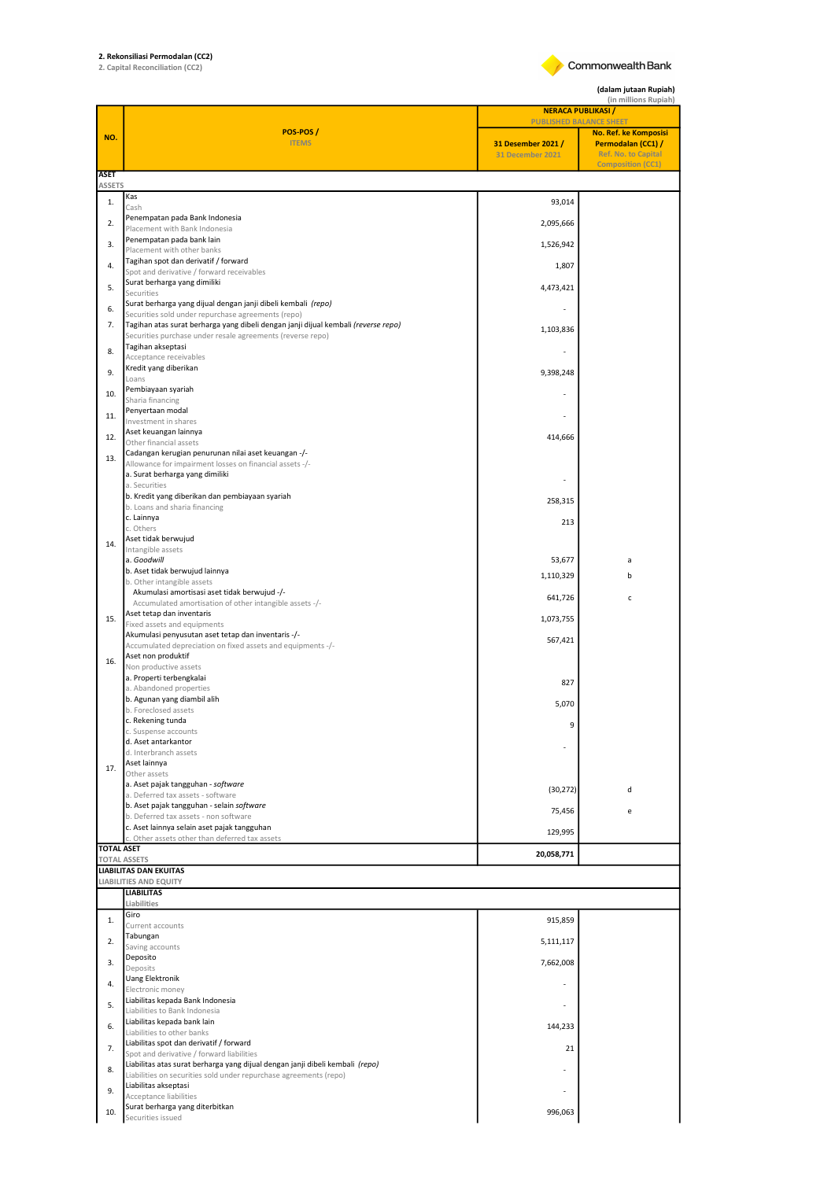## 2. Rekonsiliasi Permodalan (CC2) 2. Capital Reconciliation (CC2)

Commonwealth Bank

(dalam jutaan Rupiah)

|                     |                                                                                                                                                    | (in millions Rupiah)<br><b>NERACA PUBLIKASI /</b>                        |                                                                    |  |
|---------------------|----------------------------------------------------------------------------------------------------------------------------------------------------|--------------------------------------------------------------------------|--------------------------------------------------------------------|--|
| NO.                 | POS-POS/<br><b>ITEMS</b>                                                                                                                           | <b>PUBLISHED BALANCE SHEET</b><br>31 Desember 2021 /<br>31 December 2021 | No. Ref. ke Komposisi<br>Permodalan (CC1) /<br>Ref. No. to Capital |  |
| <b>ASET</b>         |                                                                                                                                                    |                                                                          | <b>Composition (CC1)</b>                                           |  |
| <b>ASSETS</b><br>1. | Kas                                                                                                                                                | 93,014                                                                   |                                                                    |  |
|                     | Cash<br>Penempatan pada Bank Indonesia                                                                                                             |                                                                          |                                                                    |  |
| 2.                  | Placement with Bank Indonesia<br>Penempatan pada bank lain                                                                                         | 2,095,666                                                                |                                                                    |  |
| 3.                  | Placement with other banks                                                                                                                         | 1,526,942                                                                |                                                                    |  |
| 4.                  | Tagihan spot dan derivatif / forward<br>Spot and derivative / forward receivables                                                                  | 1,807                                                                    |                                                                    |  |
| 5.                  | Surat berharga yang dimiliki<br>Securities                                                                                                         | 4,473,421                                                                |                                                                    |  |
| 6.                  | Surat berharga yang dijual dengan janji dibeli kembali (repo)<br>Securities sold under repurchase agreements (repo)                                |                                                                          |                                                                    |  |
| 7.                  | Tagihan atas surat berharga yang dibeli dengan janji dijual kembali (reverse repo)                                                                 | 1,103,836                                                                |                                                                    |  |
| 8.                  | Securities purchase under resale agreements (reverse repo)<br>Tagihan akseptasi                                                                    |                                                                          |                                                                    |  |
|                     | Acceptance receivables<br>Kredit yang diberikan                                                                                                    |                                                                          |                                                                    |  |
| 9.                  | Loans<br>Pembiayaan syariah                                                                                                                        | 9,398,248                                                                |                                                                    |  |
| 10.                 | Sharia financing                                                                                                                                   |                                                                          |                                                                    |  |
| 11.                 | Penyertaan modal<br>Investment in shares                                                                                                           |                                                                          |                                                                    |  |
| 12.                 | Aset keuangan lainnya<br>Other financial assets                                                                                                    | 414,666                                                                  |                                                                    |  |
| 13.                 | Cadangan kerugian penurunan nilai aset keuangan -/-                                                                                                |                                                                          |                                                                    |  |
|                     | Allowance for impairment losses on financial assets -/-<br>a. Surat berharga yang dimiliki                                                         |                                                                          |                                                                    |  |
|                     | a. Securities<br>b. Kredit yang diberikan dan pembiayaan syariah                                                                                   |                                                                          |                                                                    |  |
|                     | b. Loans and sharia financing<br>c. Lainnya                                                                                                        | 258,315                                                                  |                                                                    |  |
|                     | c. Others                                                                                                                                          | 213                                                                      |                                                                    |  |
| 14.                 | Aset tidak berwujud<br>Intangible assets                                                                                                           |                                                                          |                                                                    |  |
|                     | a. Goodwill<br>b. Aset tidak berwujud lainnya                                                                                                      | 53,677                                                                   | a                                                                  |  |
|                     | b. Other intangible assets                                                                                                                         | 1,110,329                                                                | h                                                                  |  |
|                     | Akumulasi amortisasi aset tidak berwujud -/-<br>Accumulated amortisation of other intangible assets -/-                                            | 641,726                                                                  | c                                                                  |  |
| 15.                 | Aset tetap dan inventaris<br>Fixed assets and equipments                                                                                           | 1,073,755                                                                |                                                                    |  |
|                     | Akumulasi penyusutan aset tetap dan inventaris -/-<br>Accumulated depreciation on fixed assets and equipments -/-                                  | 567,421                                                                  |                                                                    |  |
| 16.                 | Aset non produktif                                                                                                                                 |                                                                          |                                                                    |  |
|                     | Non productive assets<br>a. Properti terbengkalai                                                                                                  | 827                                                                      |                                                                    |  |
|                     | a. Abandoned properties<br>b. Agunan yang diambil alih                                                                                             |                                                                          |                                                                    |  |
|                     | b. Foreclosed assets<br>c. Rekening tunda                                                                                                          | 5,070                                                                    |                                                                    |  |
|                     | c. Suspense accounts                                                                                                                               | Q                                                                        |                                                                    |  |
|                     | d. Aset antarkantor<br>d. Interbranch assets                                                                                                       |                                                                          |                                                                    |  |
| 17.                 | Aset lainnya<br>Other assets                                                                                                                       |                                                                          |                                                                    |  |
|                     | a. Aset pajak tangguhan - software<br>a. Deferred tax assets - software                                                                            | (30, 272)                                                                | d                                                                  |  |
|                     | b. Aset pajak tangguhan - selain software                                                                                                          | 75,456                                                                   | e                                                                  |  |
|                     | b. Deferred tax assets - non software<br>c. Aset lainnya selain aset pajak tangguhan                                                               | 129,995                                                                  |                                                                    |  |
| <b>TOTAL ASET</b>   | c. Other assets other than deferred tax assets                                                                                                     |                                                                          |                                                                    |  |
|                     | <b>TOTAL ASSETS</b><br><b>LIABILITAS DAN EKUITAS</b>                                                                                               | 20,058,771                                                               |                                                                    |  |
|                     | <b>LIABILITIES AND EQUITY</b>                                                                                                                      |                                                                          |                                                                    |  |
|                     | <b>LIABILITAS</b><br>Liabilities                                                                                                                   |                                                                          |                                                                    |  |
| 1.                  | Giro<br>Current accounts                                                                                                                           | 915,859                                                                  |                                                                    |  |
| 2.                  | Tabungan<br>Saving accounts                                                                                                                        | 5,111,117                                                                |                                                                    |  |
| 3.                  | Deposito                                                                                                                                           | 7,662,008                                                                |                                                                    |  |
| 4.                  | Deposits<br><b>Uang Elektronik</b>                                                                                                                 | ٠                                                                        |                                                                    |  |
|                     | Electronic money<br>Liabilitas kepada Bank Indonesia                                                                                               |                                                                          |                                                                    |  |
| 5.                  | Liabilities to Bank Indonesia                                                                                                                      |                                                                          |                                                                    |  |
| 6.                  | Liabilitas kepada bank lain<br>Liabilities to other banks                                                                                          | 144,233                                                                  |                                                                    |  |
| 7.                  | Liabilitas spot dan derivatif / forward<br>Spot and derivative / forward liabilities                                                               | 21                                                                       |                                                                    |  |
| 8.                  | Liabilitas atas surat berharga yang dijual dengan janji dibeli kembali (repo)<br>Liabilities on securities sold under repurchase agreements (repo) |                                                                          |                                                                    |  |
| 9.                  | Liabilitas akseptasi                                                                                                                               |                                                                          |                                                                    |  |
| 10.                 | Acceptance liabilities<br>Surat berharga yang diterbitkan                                                                                          | 996,063                                                                  |                                                                    |  |
|                     | Securities issued                                                                                                                                  |                                                                          |                                                                    |  |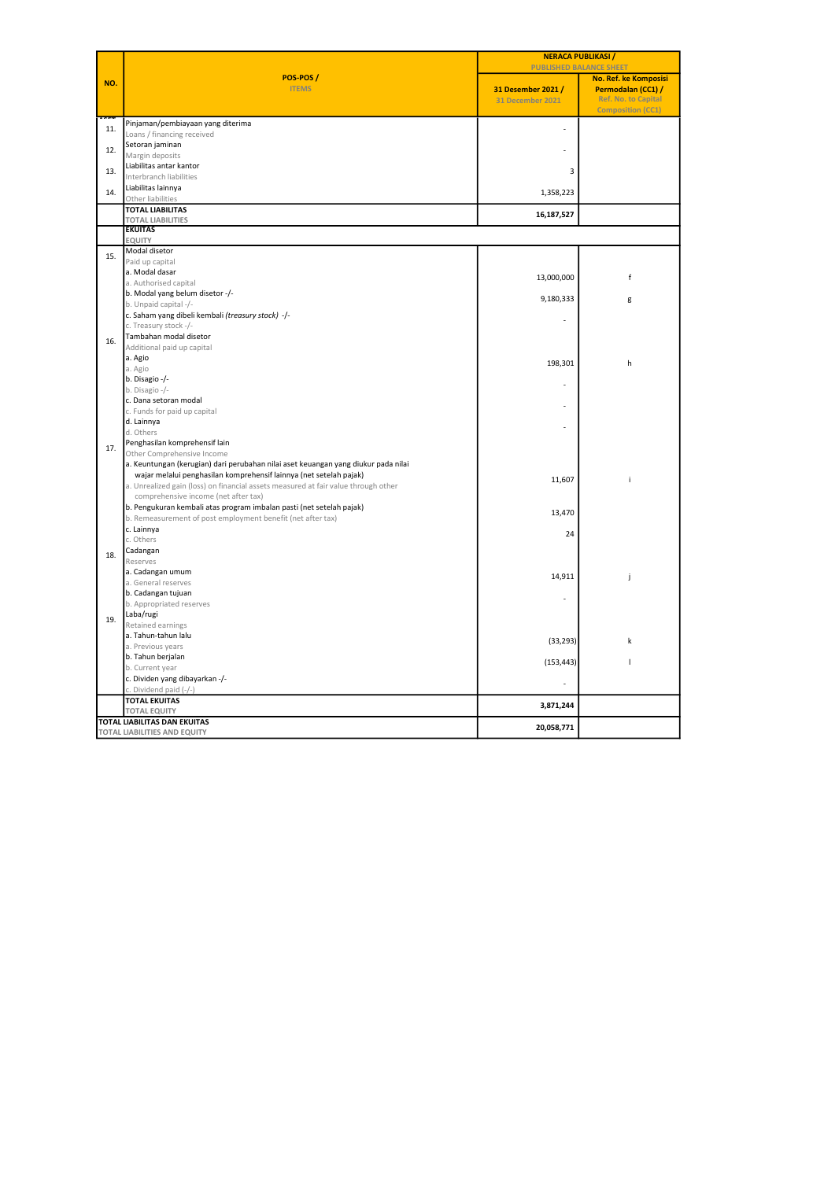|     | POS-POS/<br><b>ITEMS</b>                                                                                                                                 | <b>NERACA PUBLIKASI /</b><br><b>PUBLISHED BALANCE SHEET</b> |                                                                       |  |
|-----|----------------------------------------------------------------------------------------------------------------------------------------------------------|-------------------------------------------------------------|-----------------------------------------------------------------------|--|
| NO. |                                                                                                                                                          |                                                             | No. Ref. ke Komposisi                                                 |  |
|     |                                                                                                                                                          | 31 Desember 2021 /<br><b>31 December 2021</b>               | Permodalan (CC1) /<br>Ref. No. to Capital<br><b>Composition (CC1)</b> |  |
| 11. | Pinjaman/pembiayaan yang diterima                                                                                                                        | ä,                                                          |                                                                       |  |
|     | Loans / financing received                                                                                                                               |                                                             |                                                                       |  |
| 12. | Setoran jaminan                                                                                                                                          |                                                             |                                                                       |  |
|     | Margin deposits<br>Liabilitas antar kantor                                                                                                               |                                                             |                                                                       |  |
| 13. | Interbranch liabilities                                                                                                                                  | 3                                                           |                                                                       |  |
|     | Liabilitas lainnya                                                                                                                                       |                                                             |                                                                       |  |
| 14. | Other liabilities                                                                                                                                        | 1,358,223                                                   |                                                                       |  |
|     | <b>TOTAL LIABILITAS</b>                                                                                                                                  | 16,187,527                                                  |                                                                       |  |
|     | <b>TOTAL LIABILITIES</b><br><b>EKUITAS</b>                                                                                                               |                                                             |                                                                       |  |
|     | EQUITY                                                                                                                                                   |                                                             |                                                                       |  |
|     | Modal disetor                                                                                                                                            |                                                             |                                                                       |  |
| 15. | Paid up capital                                                                                                                                          |                                                             |                                                                       |  |
|     | a. Modal dasar                                                                                                                                           | 13,000,000                                                  | f                                                                     |  |
|     | a. Authorised capital                                                                                                                                    |                                                             |                                                                       |  |
|     | b. Modal yang belum disetor -/-                                                                                                                          | 9,180,333                                                   | g                                                                     |  |
|     | b. Unpaid capital -/-<br>c. Saham yang dibeli kembali (treasury stock) -/-                                                                               |                                                             |                                                                       |  |
|     | c. Treasury stock -/-                                                                                                                                    |                                                             |                                                                       |  |
|     | Tambahan modal disetor                                                                                                                                   |                                                             |                                                                       |  |
| 16. | Additional paid up capital                                                                                                                               |                                                             |                                                                       |  |
|     | a. Agio                                                                                                                                                  | 198,301                                                     | h                                                                     |  |
|     | a. Agio                                                                                                                                                  |                                                             |                                                                       |  |
|     | b. Disagio -/-                                                                                                                                           |                                                             |                                                                       |  |
|     | b. Disagio -/-<br>c. Dana setoran modal                                                                                                                  |                                                             |                                                                       |  |
|     | c. Funds for paid up capital                                                                                                                             |                                                             |                                                                       |  |
|     | d. Lainnya                                                                                                                                               |                                                             |                                                                       |  |
|     | d. Others                                                                                                                                                |                                                             |                                                                       |  |
| 17. | Penghasilan komprehensif lain                                                                                                                            |                                                             |                                                                       |  |
|     | Other Comprehensive Income                                                                                                                               |                                                             |                                                                       |  |
|     | a. Keuntungan (kerugian) dari perubahan nilai aset keuangan yang diukur pada nilai                                                                       |                                                             |                                                                       |  |
|     | wajar melalui penghasilan komprehensif lainnya (net setelah pajak)<br>a. Unrealized gain (loss) on financial assets measured at fair value through other | 11,607                                                      | i                                                                     |  |
|     | comprehensive income (net after tax)                                                                                                                     |                                                             |                                                                       |  |
|     | b. Pengukuran kembali atas program imbalan pasti (net setelah pajak)                                                                                     |                                                             |                                                                       |  |
|     | b. Remeasurement of post employment benefit (net after tax)                                                                                              | 13,470                                                      |                                                                       |  |
|     | c. Lainnya                                                                                                                                               | 24                                                          |                                                                       |  |
|     | c. Others                                                                                                                                                |                                                             |                                                                       |  |
| 18. | Cadangan                                                                                                                                                 |                                                             |                                                                       |  |
|     | Reserves<br>a. Cadangan umum                                                                                                                             |                                                             |                                                                       |  |
|     | a. General reserves                                                                                                                                      | 14,911                                                      | j                                                                     |  |
|     | b. Cadangan tujuan                                                                                                                                       |                                                             |                                                                       |  |
|     | b. Appropriated reserves                                                                                                                                 |                                                             |                                                                       |  |
| 19. | Laba/rugi                                                                                                                                                |                                                             |                                                                       |  |
|     | Retained earnings                                                                                                                                        |                                                             |                                                                       |  |
|     | a. Tahun-tahun lalu<br>a. Previous years                                                                                                                 | (33, 293)                                                   | k                                                                     |  |
|     | b. Tahun berjalan                                                                                                                                        |                                                             |                                                                       |  |
|     | b. Current year                                                                                                                                          | (153, 443)                                                  | ı                                                                     |  |
|     | c. Dividen yang dibayarkan -/-                                                                                                                           |                                                             |                                                                       |  |
|     | c. Dividend paid (-/-)                                                                                                                                   |                                                             |                                                                       |  |
|     | <b>TOTAL EKUITAS</b>                                                                                                                                     | 3,871,244                                                   |                                                                       |  |
|     | <b>TOTAL EQUITY</b>                                                                                                                                      |                                                             |                                                                       |  |
|     | <b>TOTAL LIABILITAS DAN EKUITAS</b><br>TOTAL LIABILITIES AND EQUITY                                                                                      | 20,058,771                                                  |                                                                       |  |
|     |                                                                                                                                                          |                                                             |                                                                       |  |